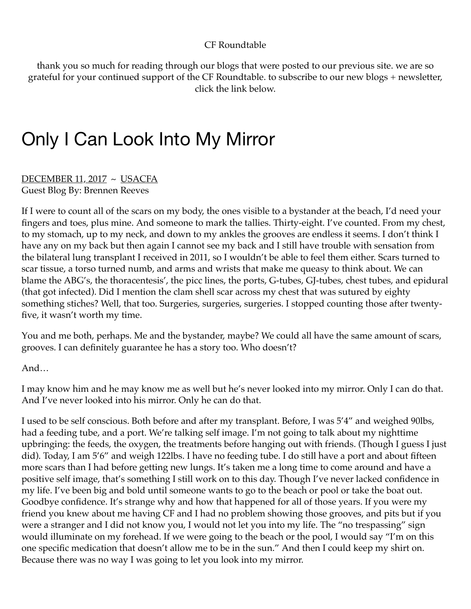## CF Roundtable

thank you so much for reading through our blogs that were posted to our previous site. we are so grateful for your continued support of the CF Roundtable. to subscribe to our new blogs + newsletter, click the link below.

## Only I Can Look Into My Mirror

DECEMBER 11, 2017 ~ USACFA Guest Blog By: Brennen Reeves

If I were to count all of the scars on my body, the ones visible to a bystander at the beach, I'd need your fingers and toes, plus mine. And someone to mark the tallies. Thirty-eight. I've counted. From my chest, to my stomach, up to my neck, and down to my ankles the grooves are endless it seems. I don't think I have any on my back but then again I cannot see my back and I still have trouble with sensation from the bilateral lung transplant I received in 2011, so I wouldn't be able to feel them either. Scars turned to scar tissue, a torso turned numb, and arms and wrists that make me queasy to think about. We can blame the ABG's, the thoracentesis', the picc lines, the ports, G-tubes, GJ-tubes, chest tubes, and epidural (that got infected). Did I mention the clam shell scar across my chest that was sutured by eighty something stiches? Well, that too. Surgeries, surgeries, surgeries. I stopped counting those after twentyfive, it wasn't worth my time.

You and me both, perhaps. Me and the bystander, maybe? We could all have the same amount of scars, grooves. I can definitely guarantee he has a story too. Who doesn't?

And…

I may know him and he may know me as well but he's never looked into my mirror. Only I can do that. And I've never looked into his mirror. Only he can do that.

I used to be self conscious. Both before and after my transplant. Before, I was 5'4" and weighed 90lbs, had a feeding tube, and a port. We're talking self image. I'm not going to talk about my nighttime upbringing: the feeds, the oxygen, the treatments before hanging out with friends. (Though I guess I just did). Today, I am 5'6" and weigh 122lbs. I have no feeding tube. I do still have a port and about fifteen more scars than I had before getting new lungs. It's taken me a long time to come around and have a positive self image, that's something I still work on to this day. Though I've never lacked confidence in my life. I've been big and bold until someone wants to go to the beach or pool or take the boat out. Goodbye confidence. It's strange why and how that happened for all of those years. If you were my friend you knew about me having CF and I had no problem showing those grooves, and pits but if you were a stranger and I did not know you, I would not let you into my life. The "no trespassing" sign would illuminate on my forehead. If we were going to the beach or the pool, I would say "I'm on this one specific medication that doesn't allow me to be in the sun." And then I could keep my shirt on. Because there was no way I was going to let you look into my mirror.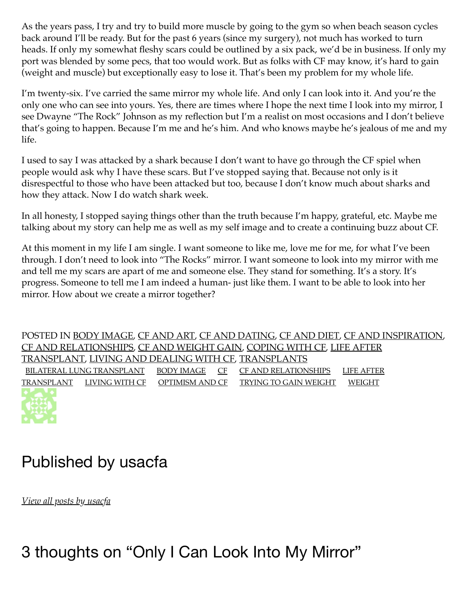As the years pass, I try and try to build more muscle by going to the gym so when beach season cycles back around I'll be ready. But for the past 6 years (since my surgery), not much has worked to turn heads. If only my somewhat fleshy scars could be outlined by a six pack, we'd be in business. If only my port was blended by some pecs, that too would work. But as folks with CF may know, it's hard to gain (weight and muscle) but exceptionally easy to lose it. That's been my problem for my whole life.

I'm twenty-six. I've carried the same mirror my whole life. And only I can look into it. And you're the only one who can see into yours. Yes, there are times where I hope the next time I look into my mirror, I see Dwayne "The Rock" Johnson as my reflection but I'm a realist on most occasions and I don't believe that's going to happen. Because I'm me and he's him. And who knows maybe he's jealous of me and my life.

I used to say I was attacked by a shark because I don't want to have go through the CF spiel when people would ask why I have these scars. But I've stopped saying that. Because not only is it disrespectful to those who have been attacked but too, because I don't know much about sharks and how they attack. Now I do watch shark week.

In all honesty, I stopped saying things other than the truth because I'm happy, grateful, etc. Maybe me talking about my story can help me as well as my self image and to create a continuing buzz about CF.

At this moment in my life I am single. I want someone to like me, love me for me, for what I've been through. I don't need to look into "The Rocks" mirror. I want someone to look into my mirror with me and tell me my scars are apart of me and someone else. They stand for something. It's a story. It's progress. Someone to tell me I am indeed a human- just like them. I want to be able to look into her mirror. How about we create a mirror together?

POSTED IN BODY IMAGE, CF AND ART, CF AND DATING, CF AND DIET, CF AND INSPIRATION, CF AND RELATIONSHIPS, CF AND WEIGHT GAIN, COPING WITH CF, LIFE AFTER TRANSPLANT, LIVING AND DEALING WITH CF, TRANSPLANTS BILATERAL LUNG TRANSPLANT BODY IMAGE CF CF AND RELATIONSHIPS LIFE AFTER TRANSPLANT LIVING WITH CF OPTIMISM AND CF TRYING TO GAIN WEIGHT WEIGHT

## Published by usacfa

*View all posts by usacfa*

3 thoughts on "Only I Can Look Into My Mirror"